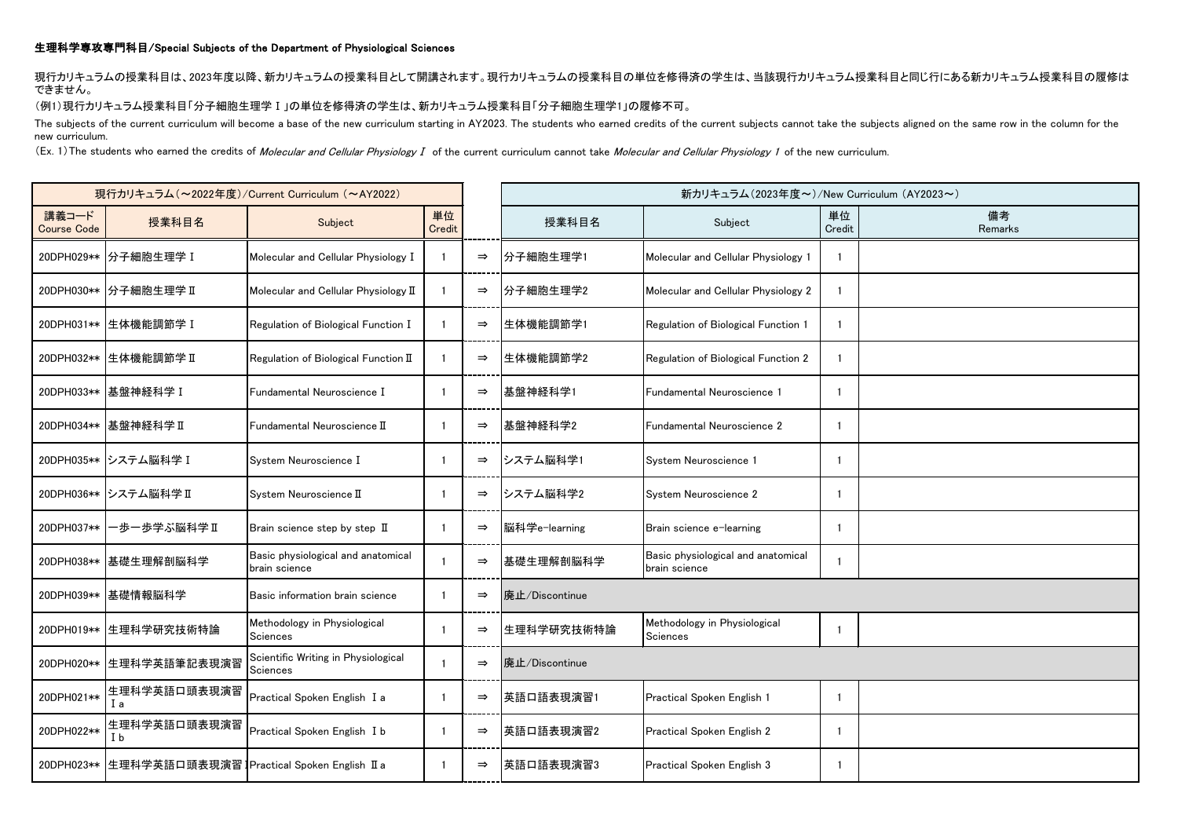## 生理科学専攻専門科目/Special Subjects of the Department of Physiological Sciences

現行カリキュラムの授業科目は、2023年度以降、新カリキュラムの授業科目として開講されます。現行カリキュラムの授業科目の単位を修得済の学生は、当該現行カリキュラム授業科目と同じ行にある新カリキュラム授業科目の履修は できません。

## (例1)現行カリキュラム授業科目「分子細胞生理学Ⅰ」の単位を修得済の学生は、新カリキュラム授業科目「分子細胞生理学1」の履修不可。

The subjects of the current curriculum will become a base of the new curriculum starting in AY2023. The students who earned credits of the current subjects cannot take the subjects aligned on the same row in the column for new curriculum.

(Ex. 1) The students who earned the credits of Molecular and Cellular Physiology I of the current curriculum cannot take Molecular and Cellular Physiology 1 of the new curriculum.

| 現行カリキュラム (~2022年度)/Current Curriculum (~AY2022) |                                                        |                                                        |              |               |                | 新カリキュラム (2023年度~)/New Curriculum (AY2023~)          |              |               |
|-------------------------------------------------|--------------------------------------------------------|--------------------------------------------------------|--------------|---------------|----------------|-----------------------------------------------------|--------------|---------------|
| 講義コード<br><b>Course Code</b>                     | 授業科目名                                                  | Subject                                                | 単位<br>Credit |               | 授業科目名          | Subject                                             | 単位<br>Credit | 備考<br>Remarks |
|                                                 | 20DPH029** 分子細胞生理学 I                                   | Molecular and Cellular Physiology I                    |              | $\Rightarrow$ | 分子細胞生理学1       | Molecular and Cellular Physiology 1                 |              |               |
|                                                 | 20DPH030** 分子細胞生理学 II                                  | Molecular and Cellular Physiology II                   |              | $\Rightarrow$ | 分子細胞生理学2       | Molecular and Cellular Physiology 2                 |              |               |
|                                                 | 20DPH031** 生体機能調節学 I                                   | Regulation of Biological Function I                    | $\mathbf{1}$ | $\Rightarrow$ | 生体機能調節学1       | Regulation of Biological Function 1                 | -1           |               |
|                                                 | 20DPH032** 生体機能調節学 II                                  | Regulation of Biological Function II                   | -1           | $\Rightarrow$ | 生体機能調節学2       | Regulation of Biological Function 2                 |              |               |
|                                                 | 20DPH033** 基盤神経科学 I                                    | Fundamental Neuroscience I                             |              | $\Rightarrow$ | 基盤神経科学1        | Fundamental Neuroscience 1                          | -1           |               |
|                                                 | 20DPH034** 基盤神経科学 II                                   | $\blacksquare$ Fundamental Neuroscience $\blacksquare$ |              | $\Rightarrow$ | 基盤神経科学2        | Fundamental Neuroscience 2                          | -1           |               |
|                                                 | 20DPH035** システム脳科学 I                                   | System Neuroscience I                                  | -1           | $\Rightarrow$ | システム脳科学1       | System Neuroscience 1                               | -1           |               |
|                                                 | 20DPH036** システム脳科学 II                                  | System Neuroscience II                                 |              | $\Rightarrow$ | システム脳科学2       | System Neuroscience 2                               | -1           |               |
| 20DPH037**                                      | −歩ー歩学ぶ脳科学Ⅱ                                             | Brain science step by step II                          |              | $\Rightarrow$ | 脳科学e-learning  | Brain science e-learning                            | -1           |               |
|                                                 | 20DPH038** 基礎生理解剖脳科学                                   | Basic physiological and anatomical<br>brain science    |              | $\Rightarrow$ | 基礎生理解剖脳科学      | Basic physiological and anatomical<br>brain science |              |               |
|                                                 | 20DPH039** 基礎情報脳科学                                     | Basic information brain science                        |              | $\Rightarrow$ | 廃止/Discontinue |                                                     |              |               |
|                                                 | 20DPH019** 生理科学研究技術特論                                  | Methodology in Physiological<br><b>Sciences</b>        |              | $\Rightarrow$ | 生理科学研究技術特論     | Methodology in Physiological<br>Sciences            | $\mathbf{1}$ |               |
|                                                 | 20DPH020** 生理科学英語筆記表現演習                                | Scientific Writing in Physiological<br>Sciences        |              | $\Rightarrow$ | 廃止/Discontinue |                                                     |              |               |
| 20DPH021**                                      | 生理科学英語口頭表現演習<br>Iа                                     | Practical Spoken English I a                           |              | $\Rightarrow$ | 英語口語表現演習1      | Practical Spoken English 1                          | -1           |               |
| 20DPH022**                                      | 生理科学英語口頭表現演習<br>I b                                    | Practical Spoken English I b                           | $\mathbf{1}$ | $\Rightarrow$ | 英語口語表現演習2      | Practical Spoken English 2                          | -1           |               |
|                                                 | 20DPH023** 生理科学英語口頭表現演習 IPractical Spoken English II a |                                                        |              | $\Rightarrow$ | 英語口語表現演習3      | Practical Spoken English 3                          |              |               |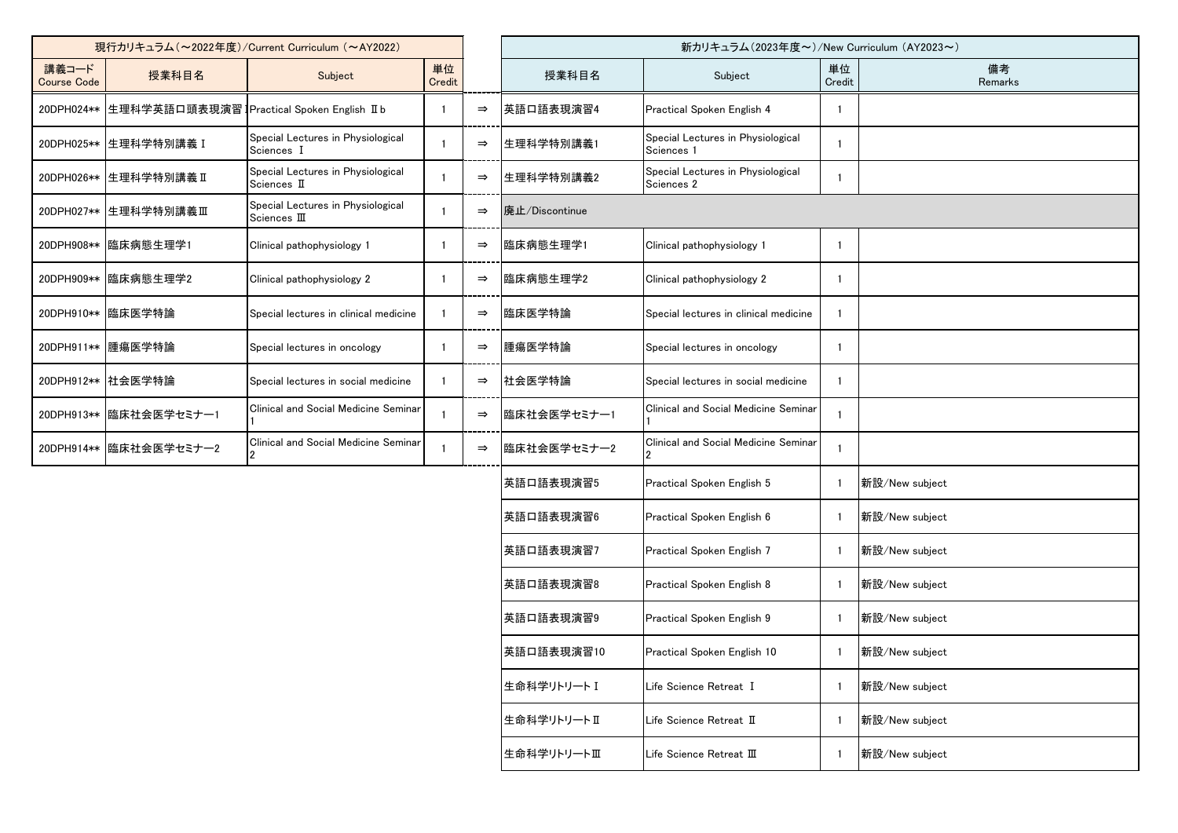| 現行カリキュラム (~2022年度)/Current Curriculum (~AY2022) |                                            |                                                   |              |               | 新カリキュラム(2023年度~)/New Curriculum (AY2023~) |                                                 |              |                |
|-------------------------------------------------|--------------------------------------------|---------------------------------------------------|--------------|---------------|-------------------------------------------|-------------------------------------------------|--------------|----------------|
| 講義コード<br><b>Course Code</b>                     | 授業科目名                                      | Subject                                           | 単位<br>Credit |               | 授業科目名                                     | Subject                                         | 単位<br>Credit | 備考<br>Remarks  |
| 20DPH024**                                      | 生理科学英語口頭表現演習 Practical Spoken English II b |                                                   |              | $\Rightarrow$ | 英語口語表現演習4                                 | Practical Spoken English 4                      |              |                |
| 20DPH025**                                      | 生理科学特別講義 I                                 | Special Lectures in Physiological<br>Sciences I   |              | $\Rightarrow$ | 生理科学特別講義1                                 | Special Lectures in Physiological<br>Sciences 1 |              |                |
| 20DPH026**                                      | 生理科学特別講義Ⅱ                                  | Special Lectures in Physiological<br>Sciences II  |              | $\Rightarrow$ | 生理科学特別講義2                                 | Special Lectures in Physiological<br>Sciences 2 |              |                |
| 20DPH027**                                      | 生理科学特別講義Ⅲ                                  | Special Lectures in Physiological<br>Sciences III |              | $\Rightarrow$ | 廃止/Discontinue                            |                                                 |              |                |
| 20DPH908**                                      | 臨床病態生理学1                                   | Clinical pathophysiology 1                        |              | $\Rightarrow$ | 臨床病態生理学1                                  | Clinical pathophysiology 1                      | -1           |                |
| 20DPH909**                                      | 臨床病態生理学2                                   | Clinical pathophysiology 2                        |              | $\Rightarrow$ | 臨床病態生理学2                                  | Clinical pathophysiology 2                      |              |                |
| 20DPH910**                                      | 臨床医学特論                                     | Special lectures in clinical medicine             |              | $\Rightarrow$ | 臨床医学特論                                    | Special lectures in clinical medicine           |              |                |
| 20DPH911**                                      | 腫瘍医学特論                                     | Special lectures in oncology                      |              | $\Rightarrow$ | 腫瘍医学特論                                    | Special lectures in oncology                    |              |                |
|                                                 | 20DPH912** 社会医学特論                          | Special lectures in social medicine               |              | $\Rightarrow$ | 社会医学特論                                    | Special lectures in social medicine             |              |                |
| 20DPH913**                                      | 臨床社会医学セミナー1                                | Clinical and Social Medicine Seminar              |              | $\Rightarrow$ | 臨床社会医学セミナー1                               | Clinical and Social Medicine Seminar            |              |                |
|                                                 | 20DPH914** 臨床社会医学セミナー2                     | Clinical and Social Medicine Seminar              |              | $\Rightarrow$ | 臨床社会医学セミナー2                               | Clinical and Social Medicine Seminar            |              |                |
|                                                 |                                            |                                                   |              |               | 英語口語表現演習5                                 | Practical Spoken English 5                      |              | 新設/New subject |
|                                                 |                                            |                                                   |              |               | 英語口語表現演習6                                 | Practical Spoken English 6                      |              | 新設/New subject |
|                                                 |                                            |                                                   |              |               | 英語口語表現演習7                                 | Practical Spoken English 7                      | - 1          | 新設/New subject |
|                                                 |                                            |                                                   |              |               | 英語口語表現演習8                                 | Practical Spoken English 8                      |              | 新設/New subject |
|                                                 |                                            |                                                   |              |               | 英語口語表現演習9                                 | Practical Spoken English 9                      |              | 新設/New subject |
|                                                 |                                            |                                                   |              |               | 英語口語表現演習10                                | Practical Spoken English 10                     |              | 新設/New subject |
|                                                 |                                            |                                                   |              |               | 生命科学リトリートI                                | Life Science Retreat I                          |              | 新設/New subject |
|                                                 |                                            |                                                   |              |               | 生命科学リトリートⅡ                                | Life Science Retreat II                         |              | 新設/New subject |
|                                                 |                                            |                                                   |              |               | 生命科学リトリートⅢ                                | Life Science Retreat III                        |              | 新設/New subject |